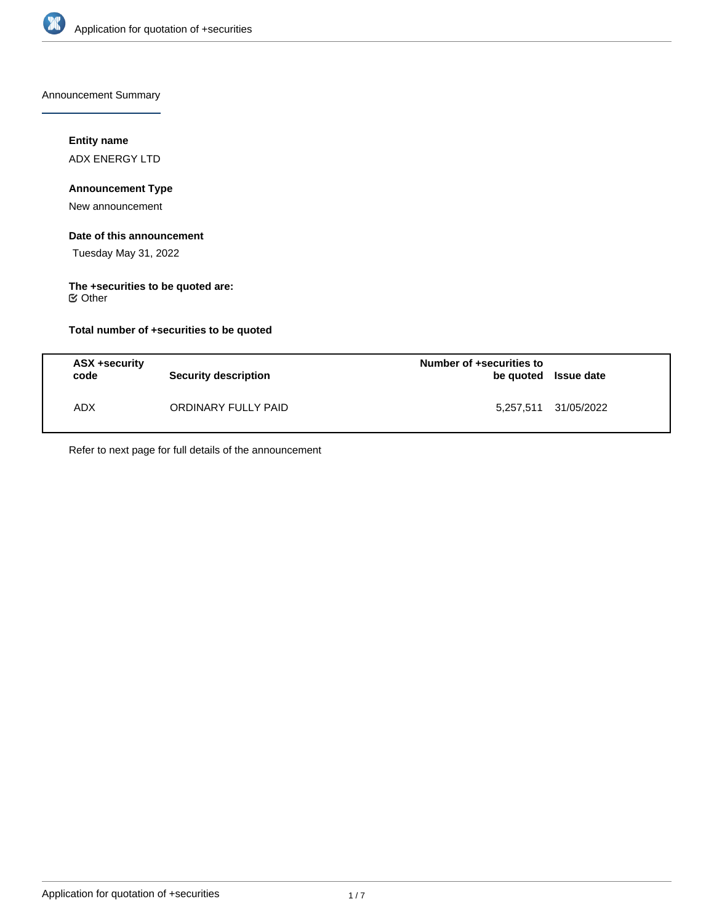

Announcement Summary

## **Entity name**

ADX ENERGY LTD

# **Announcement Type**

New announcement

#### **Date of this announcement**

Tuesday May 31, 2022

# **The +securities to be quoted are:**

Other

## **Total number of +securities to be quoted**

| ASX +security<br>code | Security description | Number of +securities to<br>be quoted Issue date |                      |
|-----------------------|----------------------|--------------------------------------------------|----------------------|
| <b>ADX</b>            | ORDINARY FULLY PAID  |                                                  | 5,257,511 31/05/2022 |

Refer to next page for full details of the announcement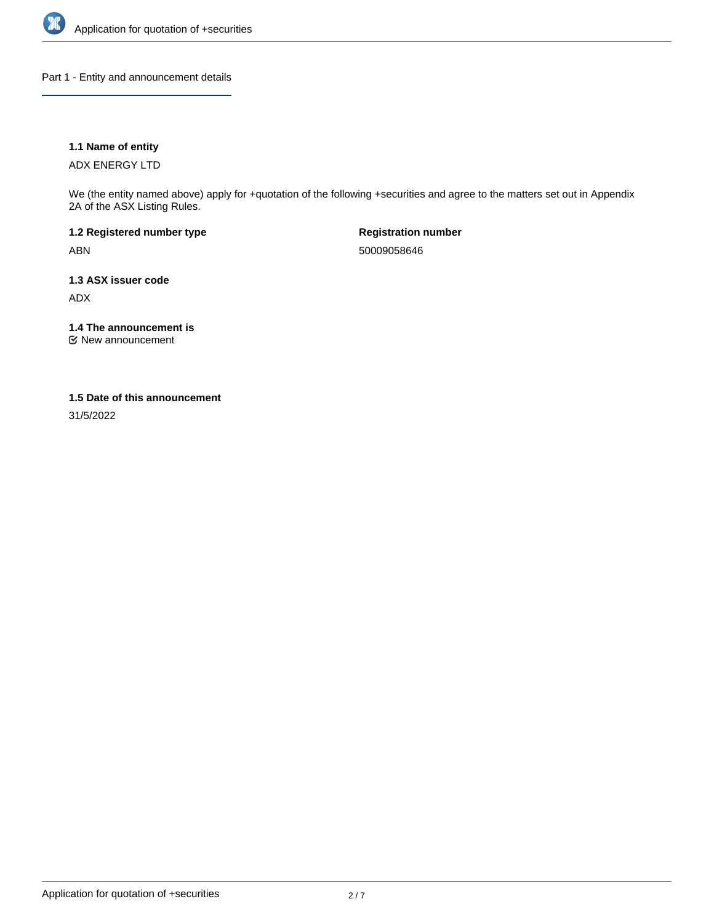

Part 1 - Entity and announcement details

## **1.1 Name of entity**

ADX ENERGY LTD

We (the entity named above) apply for +quotation of the following +securities and agree to the matters set out in Appendix 2A of the ASX Listing Rules.

**1.2 Registered number type** ABN

**Registration number** 50009058646

**1.3 ASX issuer code** ADX

**1.4 The announcement is**

New announcement

## **1.5 Date of this announcement**

31/5/2022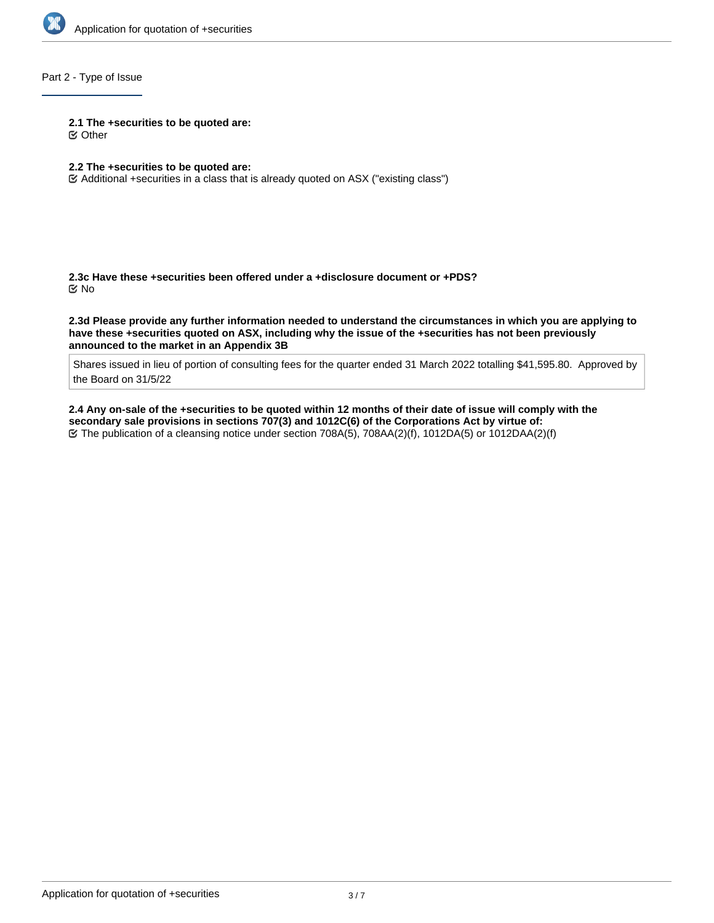

## Part 2 - Type of Issue

**2.1 The +securities to be quoted are:**

Other

## **2.2 The +securities to be quoted are:**

Additional +securities in a class that is already quoted on ASX ("existing class")

**2.3c Have these +securities been offered under a +disclosure document or +PDS?** No

**2.3d Please provide any further information needed to understand the circumstances in which you are applying to have these +securities quoted on ASX, including why the issue of the +securities has not been previously announced to the market in an Appendix 3B**

Shares issued in lieu of portion of consulting fees for the quarter ended 31 March 2022 totalling \$41,595.80. Approved by the Board on 31/5/22

**2.4 Any on-sale of the +securities to be quoted within 12 months of their date of issue will comply with the secondary sale provisions in sections 707(3) and 1012C(6) of the Corporations Act by virtue of:** The publication of a cleansing notice under section 708A(5), 708AA(2)(f), 1012DA(5) or 1012DAA(2)(f)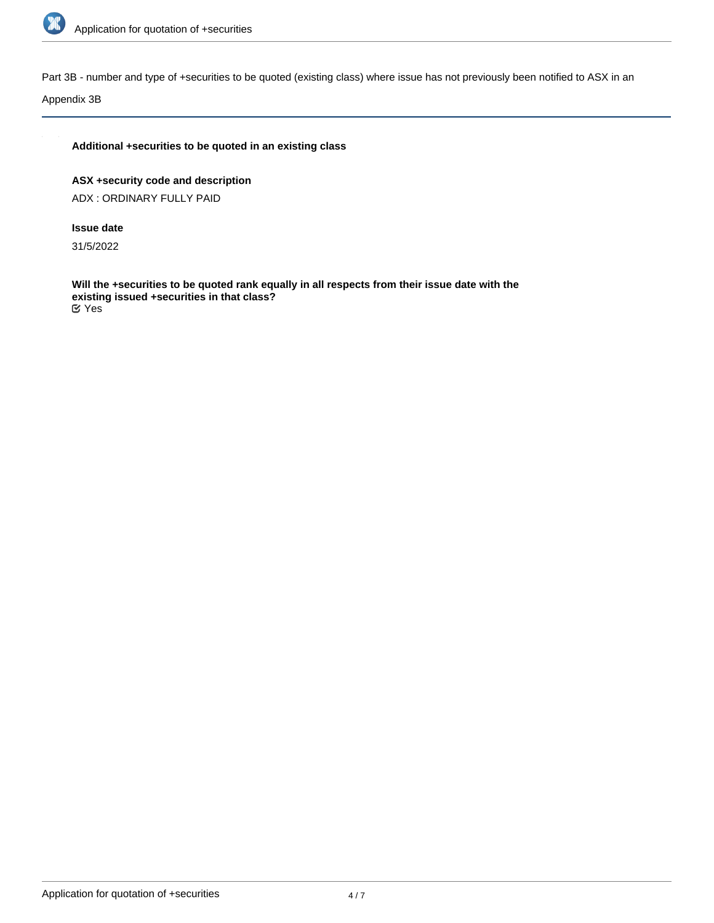

Part 3B - number and type of +securities to be quoted (existing class) where issue has not previously been notified to ASX in an

Appendix 3B

## **Additional +securities to be quoted in an existing class**

**ASX +security code and description** ADX : ORDINARY FULLY PAID

## **Issue date**

31/5/2022

**Will the +securities to be quoted rank equally in all respects from their issue date with the existing issued +securities in that class?** Yes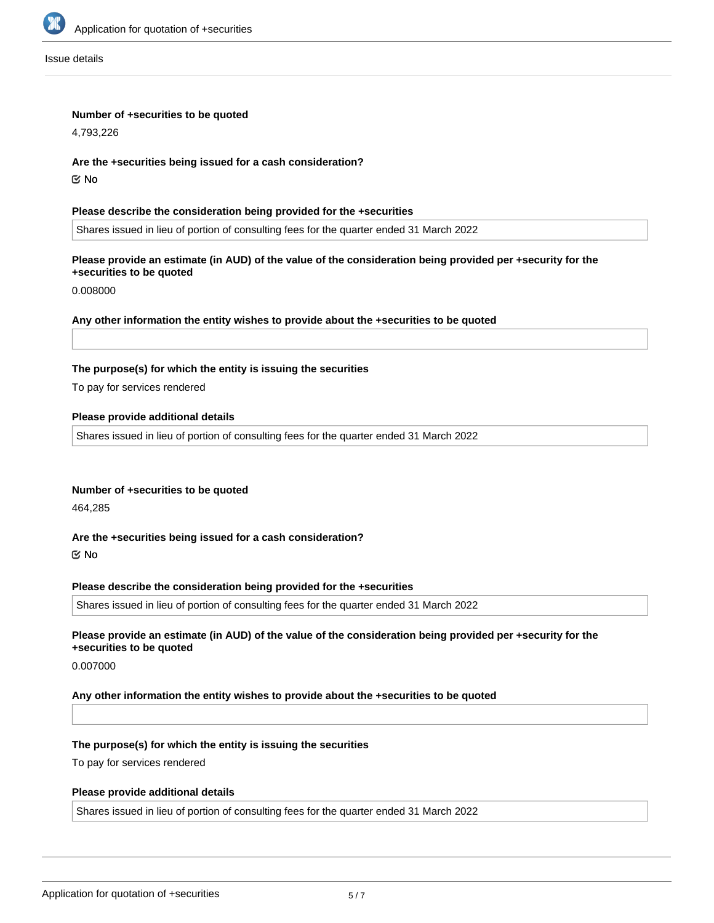

Issue details

#### **Number of +securities to be quoted**

4,793,226

#### **Are the +securities being issued for a cash consideration?**

No

#### **Please describe the consideration being provided for the +securities**

Shares issued in lieu of portion of consulting fees for the quarter ended 31 March 2022

## **Please provide an estimate (in AUD) of the value of the consideration being provided per +security for the +securities to be quoted**

0.008000

### **Any other information the entity wishes to provide about the +securities to be quoted**

### **The purpose(s) for which the entity is issuing the securities**

To pay for services rendered

### **Please provide additional details**

Shares issued in lieu of portion of consulting fees for the quarter ended 31 March 2022

### **Number of +securities to be quoted**

464,285

### **Are the +securities being issued for a cash consideration?**

No

#### **Please describe the consideration being provided for the +securities**

Shares issued in lieu of portion of consulting fees for the quarter ended 31 March 2022

# **Please provide an estimate (in AUD) of the value of the consideration being provided per +security for the +securities to be quoted**

0.007000

### **Any other information the entity wishes to provide about the +securities to be quoted**

### **The purpose(s) for which the entity is issuing the securities**

To pay for services rendered

### **Please provide additional details**

Shares issued in lieu of portion of consulting fees for the quarter ended 31 March 2022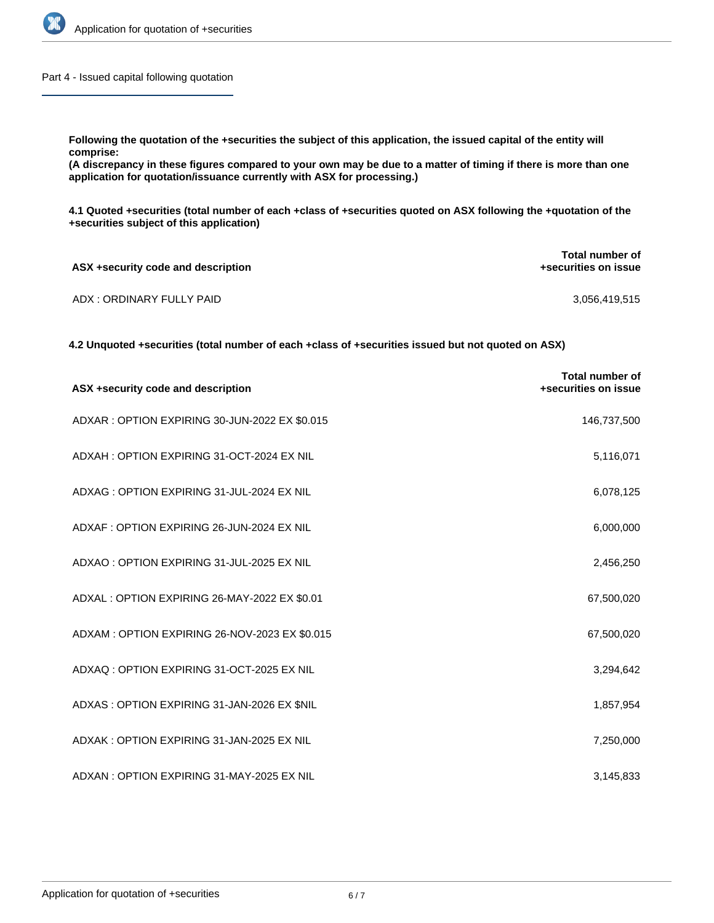

Part 4 - Issued capital following quotation

**Following the quotation of the +securities the subject of this application, the issued capital of the entity will comprise:**

**(A discrepancy in these figures compared to your own may be due to a matter of timing if there is more than one application for quotation/issuance currently with ASX for processing.)**

**4.1 Quoted +securities (total number of each +class of +securities quoted on ASX following the +quotation of the +securities subject of this application)**

| ASX +security code and description | Total number of<br>+securities on issue |  |
|------------------------------------|-----------------------------------------|--|
| ADX : ORDINARY FULLY PAID          | 3,056,419,515                           |  |

**4.2 Unquoted +securities (total number of each +class of +securities issued but not quoted on ASX)**

| ASX +security code and description            | <b>Total number of</b><br>+securities on issue |
|-----------------------------------------------|------------------------------------------------|
| ADXAR: OPTION EXPIRING 30-JUN-2022 EX \$0.015 | 146,737,500                                    |
| ADXAH: OPTION EXPIRING 31-OCT-2024 EX NIL     | 5,116,071                                      |
| ADXAG: OPTION EXPIRING 31-JUL-2024 EX NIL     | 6,078,125                                      |
| ADXAF: OPTION EXPIRING 26-JUN-2024 EX NIL     | 6,000,000                                      |
| ADXAO: OPTION EXPIRING 31-JUL-2025 EX NIL     | 2,456,250                                      |
| ADXAL : OPTION EXPIRING 26-MAY-2022 EX \$0.01 | 67,500,020                                     |
| ADXAM: OPTION EXPIRING 26-NOV-2023 EX \$0.015 | 67,500,020                                     |
| ADXAQ: OPTION EXPIRING 31-OCT-2025 EX NIL     | 3,294,642                                      |
| ADXAS: OPTION EXPIRING 31-JAN-2026 EX \$NIL   | 1,857,954                                      |
| ADXAK: OPTION EXPIRING 31-JAN-2025 EX NIL     | 7,250,000                                      |
| ADXAN: OPTION EXPIRING 31-MAY-2025 EX NIL     | 3,145,833                                      |